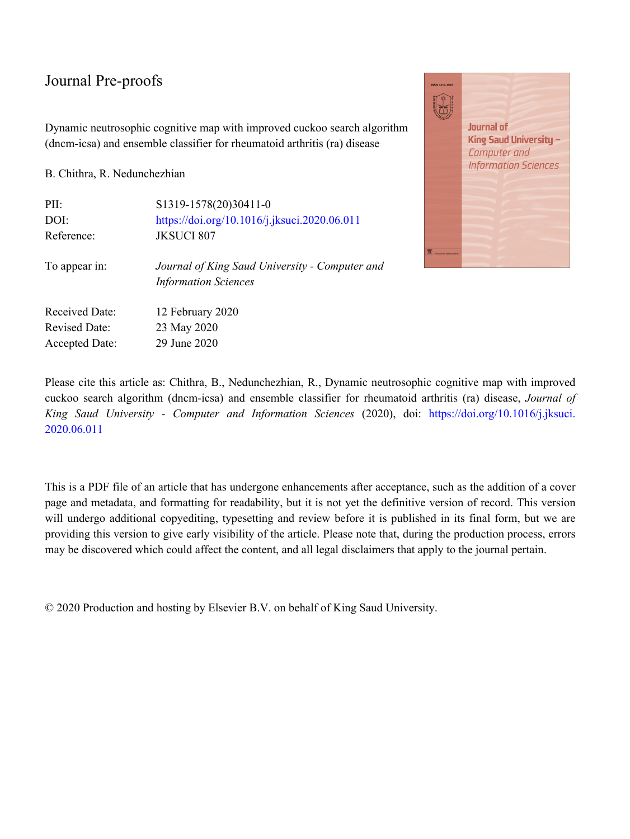Dynamic neutrosophic cognitive map with improved cuckoo search algorithm (dncm-icsa) and ensemble classifier for rheumatoid arthritis (ra) disease

B. Chithra, R. Nedunchezhian

| PII:                  | S1319-1578(20)30411-0                                                         |
|-----------------------|-------------------------------------------------------------------------------|
| DOI:                  | https://doi.org/10.1016/j.jksuci.2020.06.011                                  |
| Reference:            | <b>JKSUCI 807</b>                                                             |
| To appear in:         | Journal of King Saud University - Computer and<br><b>Information Sciences</b> |
| <b>Received Date:</b> | 12 February 2020                                                              |
| <b>Revised Date:</b>  | 23 May 2020                                                                   |
| <b>Accepted Date:</b> | 29 June 2020                                                                  |



Please cite this article as: Chithra, B., Nedunchezhian, R., Dynamic neutrosophic cognitive map with improved cuckoo search algorithm (dncm-icsa) and ensemble classifier for rheumatoid arthritis (ra) disease, *Journal of King Saud University - Computer and Information Sciences* (2020), doi: [https://doi.org/10.1016/j.jksuci.](https://doi.org/10.1016/j.jksuci.2020.06.011) [2020.06.011](https://doi.org/10.1016/j.jksuci.2020.06.011)

This is a PDF file of an article that has undergone enhancements after acceptance, such as the addition of a cover page and metadata, and formatting for readability, but it is not yet the definitive version of record. This version will undergo additional copyediting, typesetting and review before it is published in its final form, but we are providing this version to give early visibility of the article. Please note that, during the production process, errors may be discovered which could affect the content, and all legal disclaimers that apply to the journal pertain.

© 2020 Production and hosting by Elsevier B.V. on behalf of King Saud University.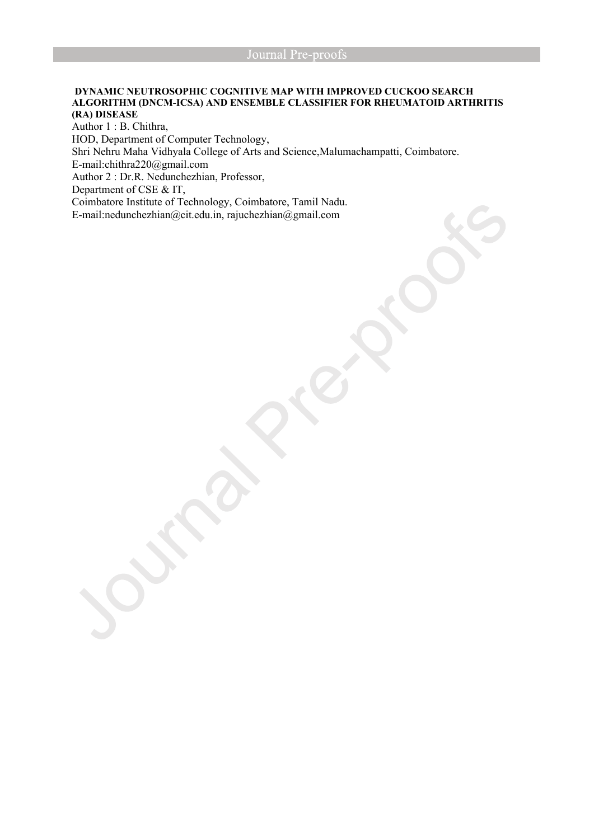# **DYNAMIC NEUTROSOPHIC COGNITIVE MAP WITH IMPROVED CUCKOO SEARCH ALGORITHM (DNCM-ICSA) AND ENSEMBLE CLASSIFIER FOR RHEUMATOID ARTHRITIS (RA) DISEASE**

Author 1 : B. Chithra, HOD, Department of Computer Technology, Shri Nehru Maha Vidhyala College of Arts and Science,Malumachampatti, Coimbatore. E-mail:chithra220@gmail.com Author 2 : Dr.R. Nedunchezhian, Professor, Department of CSE & IT, Coimbatore Institute of Technology, Coimbatore, Tamil Nadu. E-mail:nedunchezhian@cit.edu.in, rajuchezhian@gmail.com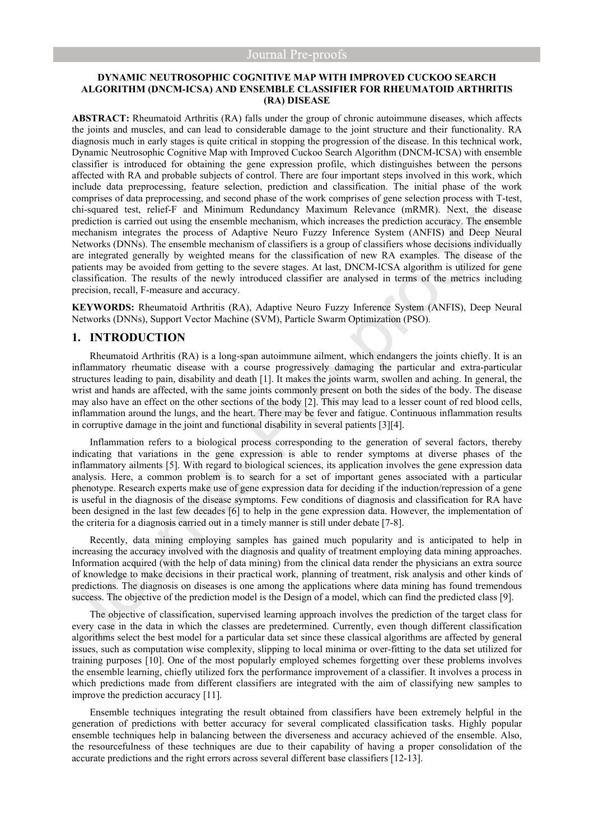# **DYNAMIC NEUTROSOPHIC COGNITIVE MAP WITH IMPROVED CUCKOO SEARCH ALGORITHM (DNCM-ICSA) AND ENSEMBLE CLASSIFIER FOR RHEUMATOID ARTHRITIS (RA) DISEASE**

**ABSTRACT:** Rheumatoid Arthritis (RA) falls under the group of chronic autoimmune diseases, which affects the joints and muscles, and can lead to considerable damage to the joint structure and their functionality. RA diagnosis much in early stages is quite critical in stopping the progression of the disease. In this technical work, Dynamic Neutrosophic Cognitive Map with Improved Cuckoo Search Algorithm (DNCM-ICSA) with ensemble classifier is introduced for obtaining the gene expression profile, which distinguishes between the persons affected with RA and probable subjects of control. There are four important steps involved in this work, which include data preprocessing, feature selection, prediction and classification. The initial phase of the work comprises of data preprocessing, and second phase of the work comprises of gene selection process with T-test, chi-squared test, relief-F and Minimum Redundancy Maximum Relevance (mRMR). Next, the disease prediction is carried out using the ensemble mechanism, which increases the prediction accuracy. The ensemble mechanism integrates the process of Adaptive Neuro Fuzzy Inference System (ANFIS) and Deep Neural Networks (DNNs). The ensemble mechanism of classifiers is a group of classifiers whose decisions individually are integrated generally by weighted means for the classification of new RA examples. The disease of the patients may be avoided from getting to the severe stages. At last, DNCM-ICSA algorithm is utilized for gene classification. The results of the newly introduced classifier are analysed in terms of the metrics including precision, recall, F-measure and accuracy.

**KEYWORDS:** Rheumatoid Arthritis (RA), Adaptive Neuro Fuzzy Inference System (ANFIS), Deep Neural Networks (DNNs), Support Vector Machine (SVM), Particle Swarm Optimization (PSO).

# **1. INTRODUCTION**

Rheumatoid Arthritis (RA) is a long-span autoimmune ailment, which endangers the joints chiefly. It is an inflammatory rheumatic disease with a course progressively damaging the particular and extra-particular structures leading to pain, disability and death [1]. It makes the joints warm, swollen and aching. In general, the wrist and hands are affected, with the same joints commonly present on both the sides of the body. The disease may also have an effect on the other sections of the body [2]. This may lead to a lesser count of red blood cells, inflammation around the lungs, and the heart. There may be fever and fatigue. Continuous inflammation results in corruptive damage in the joint and functional disability in several patients [3][4].

Inflammation refers to a biological process corresponding to the generation of several factors, thereby indicating that variations in the gene expression is able to render symptoms at diverse phases of the inflammatory ailments [5]. With regard to biological sciences, its application involves the gene expression data analysis. Here, a common problem is to search for a set of important genes associated with a particular phenotype. Research experts make use of gene expression data for deciding if the induction/repression of a gene is useful in the diagnosis of the disease symptoms. Few conditions of diagnosis and classification for RA have been designed in the last few decades [6] to help in the gene expression data. However, the implementation of the criteria for a diagnosis carried out in a timely manner is still under debate [7-8].

Recently, data mining employing samples has gained much popularity and is anticipated to help in increasing the accuracy involved with the diagnosis and quality of treatment employing data mining approaches. Information acquired (with the help of data mining) from the clinical data render the physicians an extra source of knowledge to make decisions in their practical work, planning of treatment, risk analysis and other kinds of predictions. The diagnosis on diseases is one among the applications where data mining has found tremendous success. The objective of the prediction model is the Design of a model, which can find the predicted class [9].

The objective of classification, supervised learning approach involves the prediction of the target class for every case in the data in which the classes are predetermined. Currently, even though different classification algorithms select the best model for a particular data set since these classical algorithms are affected by general issues, such as computation wise complexity, slipping to local minima or over-fitting to the data set utilized for training purposes [10]. One of the most popularly employed schemes forgetting over these problems involves the ensemble learning, chiefly utilized forx the performance improvement of a classifier. It involves a process in which predictions made from different classifiers are integrated with the aim of classifying new samples to improve the prediction accuracy [11].

Ensemble techniques integrating the result obtained from classifiers have been extremely helpful in the generation of predictions with better accuracy for several complicated classification tasks. Highly popular ensemble techniques help in balancing between the diverseness and accuracy achieved of the ensemble. Also, the resourcefulness of these techniques are due to their capability of having a proper consolidation of the accurate predictions and the right errors across several different base classifiers [12-13].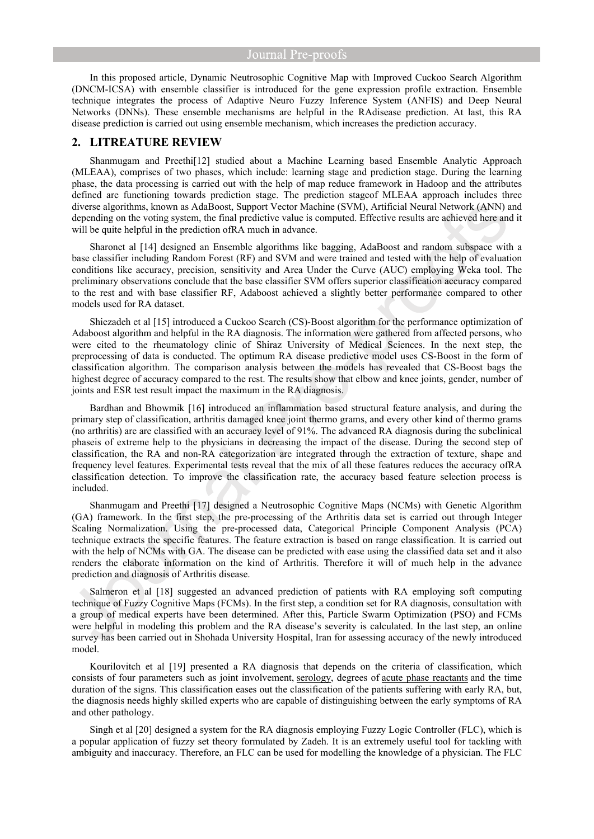In this proposed article, Dynamic Neutrosophic Cognitive Map with Improved Cuckoo Search Algorithm (DNCM-ICSA) with ensemble classifier is introduced for the gene expression profile extraction. Ensemble technique integrates the process of Adaptive Neuro Fuzzy Inference System (ANFIS) and Deep Neural Networks (DNNs). These ensemble mechanisms are helpful in the RAdisease prediction. At last, this RA disease prediction is carried out using ensemble mechanism, which increases the prediction accuracy.

# **2. LITREATURE REVIEW**

Shanmugam and Preethi[12] studied about a Machine Learning based Ensemble Analytic Approach (MLEAA), comprises of two phases, which include: learning stage and prediction stage. During the learning phase, the data processing is carried out with the help of map reduce framework in Hadoop and the attributes defined are functioning towards prediction stage. The prediction stageof MLEAA approach includes three diverse algorithms, known as AdaBoost, Support Vector Machine (SVM), Artificial Neural Network (ANN) and depending on the voting system, the final predictive value is computed. Effective results are achieved here and it will be quite helpful in the prediction ofRA much in advance.

Sharonet al [14] designed an Ensemble algorithms like bagging, AdaBoost and random subspace with a base classifier including Random Forest (RF) and SVM and were trained and tested with the help of evaluation conditions like accuracy, precision, sensitivity and Area Under the Curve (AUC) employing Weka tool. The preliminary observations conclude that the base classifier SVM offers superior classification accuracy compared to the rest and with base classifier RF, Adaboost achieved a slightly better performance compared to other models used for RA dataset.

Shiezadeh et al [15] introduced a Cuckoo Search (CS)-Boost algorithm for the performance optimization of Adaboost algorithm and helpful in the RA diagnosis. The information were gathered from affected persons, who were cited to the rheumatology clinic of Shiraz University of Medical Sciences. In the next step, the preprocessing of data is conducted. The optimum RA disease predictive model uses CS-Boost in the form of classification algorithm. The comparison analysis between the models has revealed that CS-Boost bags the highest degree of accuracy compared to the rest. The results show that elbow and knee joints, gender, number of joints and ESR test result impact the maximum in the RA diagnosis.

Bardhan and Bhowmik [16] introduced an inflammation based structural feature analysis, and during the primary step of classification, arthritis damaged knee joint thermo grams, and every other kind of thermo grams (no arthritis) are are classified with an accuracy level of 91%. The advanced RA diagnosis during the subclinical phaseis of extreme help to the physicians in decreasing the impact of the disease. During the second step of classification, the RA and non-RA categorization are integrated through the extraction of texture, shape and frequency level features. Experimental tests reveal that the mix of all these features reduces the accuracy ofRA classification detection. To improve the classification rate, the accuracy based feature selection process is included.

Shanmugam and Preethi [17] designed a Neutrosophic Cognitive Maps (NCMs) with Genetic Algorithm (GA) framework. In the first step, the pre-processing of the Arthritis data set is carried out through Integer Scaling Normalization. Using the pre-processed data, Categorical Principle Component Analysis (PCA) technique extracts the specific features. The feature extraction is based on range classification. It is carried out with the help of NCMs with GA. The disease can be predicted with ease using the classified data set and it also renders the elaborate information on the kind of Arthritis. Therefore it will of much help in the advance prediction and diagnosis of Arthritis disease.

Salmeron et al [18] suggested an advanced prediction of patients with RA employing soft computing technique of Fuzzy Cognitive Maps (FCMs). In the first step, a condition set for RA diagnosis, consultation with a group of medical experts have been determined. After this, Particle Swarm Optimization (PSO) and FCMs were helpful in modeling this problem and the RA disease's severity is calculated. In the last step, an online survey has been carried out in Shohada University Hospital, Iran for assessing accuracy of the newly introduced model.

Kourilovitch et al [19] presented a RA diagnosis that depends on the criteria of classification, which consists of four parameters such as joint involvement, [serology,](https://www.sciencedirect.com/topics/immunology-and-microbiology/serology) degrees of [acute phase reactants](https://www.sciencedirect.com/topics/medicine-and-dentistry/acute-phase-protein) and the time duration of the signs. This classification eases out the classification of the patients suffering with early RA, but, the diagnosis needs highly skilled experts who are capable of distinguishing between the early symptoms of RA and other pathology.

Singh et al [20] designed a system for the RA diagnosis employing Fuzzy Logic Controller (FLC), which is a popular application of fuzzy set theory formulated by Zadeh. It is an extremely useful tool for tackling with ambiguity and inaccuracy. Therefore, an FLC can be used for modelling the knowledge of a physician. The FLC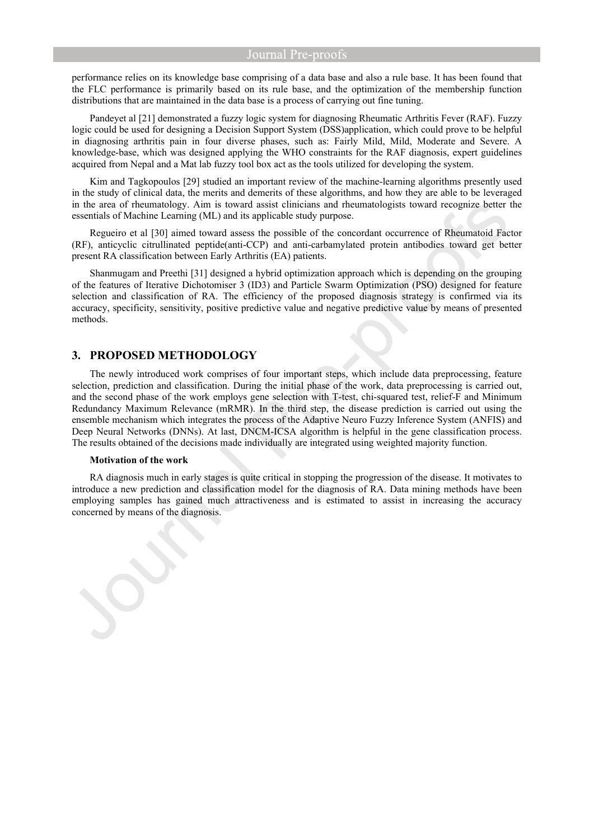performance relies on its knowledge base comprising of a data base and also a rule base. It has been found that the FLC performance is primarily based on its rule base, and the optimization of the membership function distributions that are maintained in the data base is a process of carrying out fine tuning.

Pandeyet al [21] demonstrated a fuzzy logic system for diagnosing Rheumatic Arthritis Fever (RAF). Fuzzy logic could be used for designing a Decision Support System (DSS)application, which could prove to be helpful in diagnosing arthritis pain in four diverse phases, such as: Fairly Mild, Mild, Moderate and Severe. A knowledge-base, which was designed applying the WHO constraints for the RAF diagnosis, expert guidelines acquired from Nepal and a Mat lab fuzzy tool box act as the tools utilized for developing the system.

Kim and Tagkopoulos [29] studied an important review of the machine-learning algorithms presently used in the study of clinical data, the merits and demerits of these algorithms, and how they are able to be leveraged in the area of rheumatology. Aim is toward assist clinicians and rheumatologists toward recognize better the essentials of Machine Learning (ML) and its applicable study purpose.

Regueiro et al [30] aimed toward assess the possible of the concordant occurrence of Rheumatoid Factor (RF), anticyclic citrullinated peptide(anti-CCP) and anti-carbamylated protein antibodies toward get better present RA classification between Early Arthritis (EA) patients.

Shanmugam and Preethi [31] designed a hybrid optimization approach which is depending on the grouping of the features of Iterative Dichotomiser 3 (ID3) and Particle Swarm Optimization (PSO) designed for feature selection and classification of RA. The efficiency of the proposed diagnosis strategy is confirmed via its accuracy, specificity, sensitivity, positive predictive value and negative predictive value by means of presented methods.

# **3. PROPOSED METHODOLOGY**

The newly introduced work comprises of four important steps, which include data preprocessing, feature selection, prediction and classification. During the initial phase of the work, data preprocessing is carried out, and the second phase of the work employs gene selection with T-test, chi-squared test, relief-F and Minimum Redundancy Maximum Relevance (mRMR). In the third step, the disease prediction is carried out using the ensemble mechanism which integrates the process of the Adaptive Neuro Fuzzy Inference System (ANFIS) and Deep Neural Networks (DNNs). At last, DNCM-ICSA algorithm is helpful in the gene classification process. The results obtained of the decisions made individually are integrated using weighted majority function.

#### **Motivation of the work**

RA diagnosis much in early stages is quite critical in stopping the progression of the disease. It motivates to introduce a new prediction and classification model for the diagnosis of RA. Data mining methods have been employing samples has gained much attractiveness and is estimated to assist in increasing the accuracy concerned by means of the diagnosis.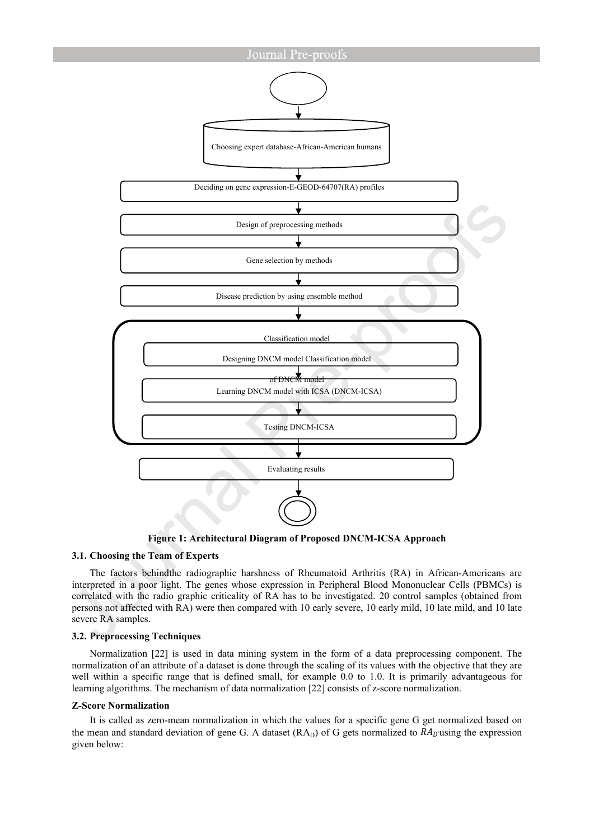

**Figure 1: Architectural Diagram of Proposed DNCM-ICSA Approach**

# **3.1. Choosing the Team of Experts**

The factors behindthe radiographic harshness of Rheumatoid Arthritis (RA) in African-Americans are interpreted in a poor light. The genes whose expression in Peripheral Blood Mononuclear Cells (PBMCs) is correlated with the radio graphic criticality of RA has to be investigated. 20 control samples (obtained from persons not affected with RA) were then compared with 10 early severe, 10 early mild, 10 late mild, and 10 late severe RA samples.

# **3.2. Preprocessing Techniques**

Normalization [22] is used in data mining system in the form of a data preprocessing component. The normalization of an attribute of a dataset is done through the scaling of its values with the objective that they are well within a specific range that is defined small, for example 0.0 to 1.0. It is primarily advantageous for learning algorithms. The mechanism of data normalization [22] consists of z-score normalization.

#### **Z-Score Normalization**

It is called as zero-mean normalization in which the values for a specific gene G get normalized based on the mean and standard deviation of gene G. A dataset  $(RA_D)$  of G gets normalized to  $RA_D$  using the expression given below: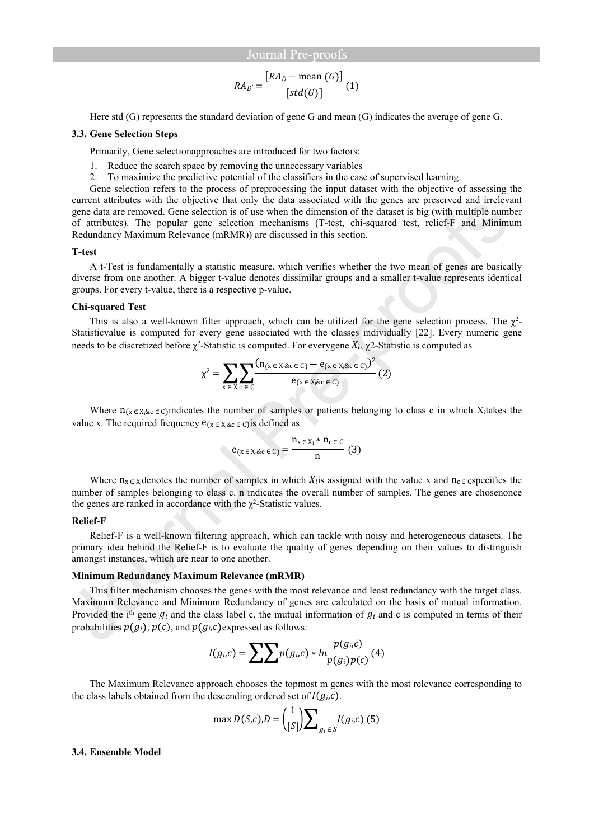$$
RA_{D'} = \frac{[RA_{D} - \text{mean } (G)]}{[std(G)]}(1)
$$

Here std (G) represents the standard deviation of gene G and mean (G) indicates the average of gene G.

#### **3.3. Gene Selection Steps**

Primarily, Gene selectionapproaches are introduced for two factors:

- 1. Reduce the search space by removing the unnecessary variables
- 2. To maximize the predictive potential of the classifiers in the case of supervised learning.

Gene selection refers to the process of preprocessing the input dataset with the objective of assessing the current attributes with the objective that only the data associated with the genes are preserved and irrelevant gene data are removed. Gene selection is of use when the dimension of the dataset is big (with multiple number of attributes). The popular gene selection mechanisms (T-test, chi-squared test, relief-F and Minimum Redundancy Maximum Relevance (mRMR)) are discussed in this section.

#### **T-test**

A t-Test is fundamentally a statistic measure, which verifies whether the two mean of genes are basically diverse from one another. A bigger t-value denotes dissimilar groups and a smaller t-value represents identical groups. For every t-value, there is a respective p-value.

#### **Chi-squared Test**

This is also a well-known filter approach, which can be utilized for the gene selection process. The  $\chi^2$ -Statisticvalue is computed for every gene associated with the classes individually [22]. Every numeric gene needs to be discretized before  $\chi^2$ -Statistic is computed. For everygene  $X_i$ ,  $\chi^2$ -Statistic is computed as

$$
\chi^{2} = \sum_{x \in X_{i}c \in C} \sum_{x \in X_{i}kc \in C} \frac{(n_{(x \in X_{i}kc \in C)} - e_{(x \in X_{i}kc \in C)})^{2}}{e_{(x \in X_{i}kc \in C)}}(2)
$$

Where  $n_{x \in K}$ <sub>&c</sub> ∈ c)indicates the number of samples or patients belonging to class c in which X<sub>i</sub>takes the value x. The required frequency  $e_{(x \in X_i \& c \in C)}$  is defined as

$$
e_{(x \in X_i \& c \in C)} = \frac{n_{x \in X_i} * n_{c \in C}}{n}
$$
 (3)

Where  $n_x \in X$  denotes the number of samples in which  $X_i$  is assigned with the value x and  $n_c \in \mathcal{E}$  cspecifies the number of samples belonging to class c. n indicates the overall number of samples. The genes are chosenonce the genes are ranked in accordance with the  $\chi^2$ -Statistic values.

#### **Relief-F**

Relief-F is a well-known filtering approach, which can tackle with noisy and heterogeneous datasets. The primary idea behind the Relief-F is to evaluate the quality of genes depending on their values to distinguish amongst instances, which are near to one another.

#### **Minimum Redundancy Maximum Relevance (mRMR)**

This filter mechanism chooses the genes with the most relevance and least redundancy with the target class. Maximum Relevance and Minimum Redundancy of genes are calculated on the basis of mutual information. Provided the i<sup>th</sup> gene  $g_i$  and the class label c, the mutual information of  $g_i$  and c is computed in terms of their probabilities  $p(g_i)$ ,  $p(c)$ , and  $p(g_i, c)$  expressed as follows:

$$
I(g_i,c) = \sum \sum p(g_i,c) * ln \frac{p(g_i,c)}{p(g_i)p(c)} \tag{4}
$$

The Maximum Relevance approach chooses the topmost m genes with the most relevance corresponding to the class labels obtained from the descending ordered set of  $I(g_i,c)$ .

$$
\max D(S,c), D = \left(\frac{1}{|S|}\right) \sum_{g_i \in S} I(g_i,c) \tag{5}
$$

#### **3.4. Ensemble Model**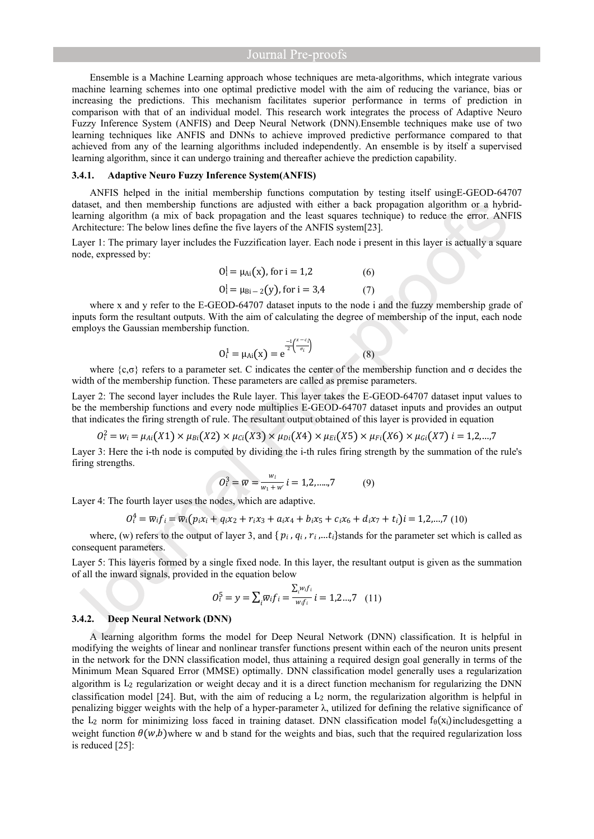Ensemble is a Machine Learning approach whose techniques are meta-algorithms, which integrate various machine learning schemes into one optimal predictive model with the aim of reducing the variance, bias or increasing the predictions. This mechanism facilitates superior performance in terms of prediction in comparison with that of an individual model. This research work integrates the process of Adaptive Neuro Fuzzy Inference System (ANFIS) and Deep Neural Network (DNN).Ensemble techniques make use of two learning techniques like ANFIS and DNNs to achieve improved predictive performance compared to that achieved from any of the learning algorithms included independently. An ensemble is by itself a supervised learning algorithm, since it can undergo training and thereafter achieve the prediction capability.

#### **3.4.1. Adaptive Neuro Fuzzy Inference System(ANFIS)**

ANFIS helped in the initial membership functions computation by testing itself usingE-GEOD-64707 dataset, and then membership functions are adjusted with either a back propagation algorithm or a hybridlearning algorithm (a mix of back propagation and the least squares technique) to reduce the error. ANFIS Architecture: The below lines define the five layers of the ANFIS system[23].

Layer 1: The primary layer includes the Fuzzification layer. Each node i present in this layer is actually a square node, expressed by:

$$
Oi1 = \muAi(x), for i = 1,2
$$
 (6)  
 
$$
Oi1 = \muBi-2(y), for i = 3,4
$$
 (7)

where x and y refer to the E-GEOD-64707 dataset inputs to the node i and the fuzzy membership grade of inputs form the resultant outputs. With the aim of calculating the degree of membership of the input, each node employs the Gaussian membership function.

$$
0_1^1 = \mu_{Ai}(x) = e^{\frac{-1}{2} \left(\frac{x - c_i}{\sigma_i}\right)}
$$
(8)

where  $\{c, \sigma\}$  refers to a parameter set. C indicates the center of the membership function and  $\sigma$  decides the width of the membership function. These parameters are called as premise parameters.

Layer 2: The second layer includes the Rule layer. This layer takes the E-GEOD-64707 dataset input values to be the membership functions and every node multiplies E-GEOD-64707 dataset inputs and provides an output that indicates the firing strength of rule. The resultant output obtained of this layer is provided in equation

$$
O_i^2 = w_i = \mu_{Ai}(X1) \times \mu_{Bi}(X2) \times \mu_{Ci}(X3) \times \mu_{Di}(X4) \times \mu_{Ei}(X5) \times \mu_{Fi}(X6) \times \mu_{Gi}(X7) \, i = 1, 2, ..., 7
$$

Layer 3: Here the i-th node is computed by dividing the i-th rules firing strength by the summation of the rule's firing strengths.

$$
O_t^3 = \overline{w} = \frac{w_l}{w_1 + w'} i = 1, 2, \dots, 7
$$
 (9)

Layer 4: The fourth layer uses the nodes, which are adaptive.

$$
O_i^4 = \overline{w}_i f_i = \overline{w}_i (p_i x_i + q_i x_2 + r_i x_3 + a_i x_4 + b_i x_5 + c_i x_6 + d_i x_7 + t_i) i = 1, 2, ..., 7 (10)
$$

where, (w) refers to the output of layer 3, and { $p_i$ ,  $q_i$ ,  $r_i$ ,...t<sub>i</sub>}stands for the parameter set which is called as consequent parameters.

Layer 5: This layeris formed by a single fixed node. In this layer, the resultant output is given as the summation of all the inward signals, provided in the equation below

$$
O_i^5 = y = \sum_i \overline{w_i} f_i = \frac{\sum_i w_i f_i}{w_i f_i} i = 1, 2, ..., 7 \quad (11)
$$

#### **3.4.2. Deep Neural Network (DNN)**

A learning algorithm forms the model for Deep Neural Network (DNN) classification. It is helpful in modifying the weights of linear and nonlinear transfer functions present within each of the neuron units present in the network for the DNN classification model, thus attaining a required design goal generally in terms of the Minimum Mean Squared Error (MMSE) optimally. DNN classification model generally uses a regularization algorithm is  $L_2$  regularization or weight decay and it is a direct function mechanism for regularizing the DNN classification model [24]. But, with the aim of reducing a  $L_2$  norm, the regularization algorithm is helpful in penalizing bigger weights with the help of a hyper-parameter λ, utilized for defining the relative significance of the L<sub>2</sub> norm for minimizing loss faced in training dataset. DNN classification model  $f_\theta(x_i)$  includesgetting a weight function  $\theta(w,b)$  where w and b stand for the weights and bias, such that the required regularization loss is reduced [25]: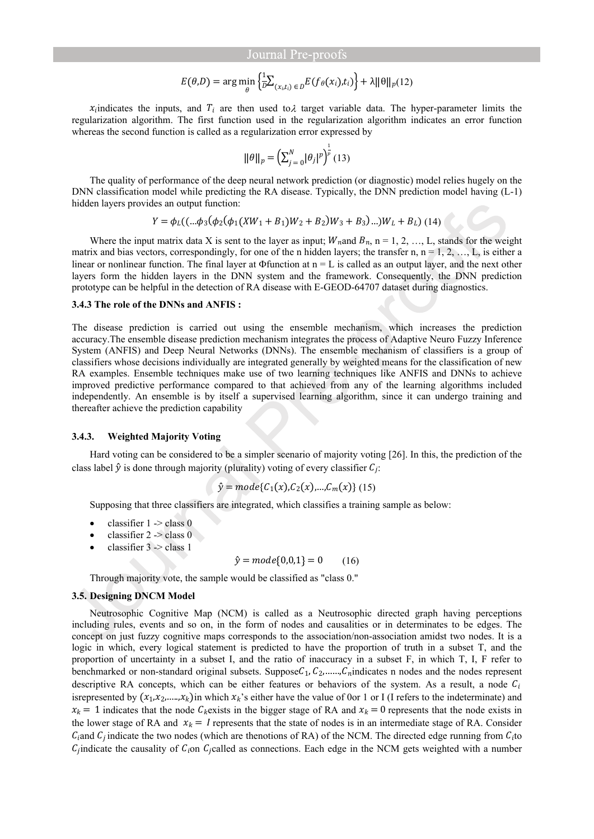$$
E(\theta, D) = \arg\min_{\theta} \left\{ \frac{1}{D} \sum_{(x_i, t_i) \in D} E(f_{\theta}(x_i), t_i) \right\} + \lambda ||\theta||_p(12)
$$

 $x_i$  indicates the inputs, and  $T_i$  are then used to  $\lambda$  target variable data. The hyper-parameter limits the regularization algorithm. The first function used in the regularization algorithm indicates an error function whereas the second function is called as a regularization error expressed by

$$
\|\theta\|_{p} = \left(\sum_{j=0}^{N} |\theta_{j}|^{p}\right)^{\frac{1}{p}}(13)
$$

The quality of performance of the deep neural network prediction (or diagnostic) model relies hugely on the DNN classification model while predicting the RA disease. Typically, the DNN prediction model having (L-1) hidden layers provides an output function:

$$
Y = \phi_L((...\phi_3(\phi_2(\phi_1(XW_1 + B_1)W_2 + B_2)W_3 + B_3)...)W_L + B_L)
$$
 (14)

Where the input matrix data X is sent to the layer as input;  $W<sub>n</sub>$  and  $B<sub>n</sub>$ , n = 1, 2, ..., L, stands for the weight matrix and bias vectors, correspondingly, for one of the n hidden layers; the transfer n,  $n = 1, 2, ..., L$ , is either a linear or nonlinear function. The final layer at  $\Phi$  function at  $n = L$  is called as an output layer, and the next other layers form the hidden layers in the DNN system and the framework. Consequently, the DNN prediction prototype can be helpful in the detection of RA disease with E-GEOD-64707 dataset during diagnostics.

#### **3.4.3 The role of the DNNs and ANFIS :**

The disease prediction is carried out using the ensemble mechanism, which increases the prediction accuracy.The ensemble disease prediction mechanism integrates the process of Adaptive Neuro Fuzzy Inference System (ANFIS) and Deep Neural Networks (DNNs). The ensemble mechanism of classifiers is a group of classifiers whose decisions individually are integrated generally by weighted means for the classification of new RA examples. Ensemble techniques make use of two learning techniques like ANFIS and DNNs to achieve improved predictive performance compared to that achieved from any of the learning algorithms included independently. An ensemble is by itself a supervised learning algorithm, since it can undergo training and thereafter achieve the prediction capability

#### **3.4.3. Weighted Majority Voting**

Hard voting can be considered to be a simpler scenario of majority voting [26]. In this, the prediction of the class label  $\hat{y}$  is done through majority (plurality) voting of every classifier  $C_i$ :

$$
\hat{y} = mode{C_1(x), C_2(x), ..., C_m(x)} (15)
$$

Supposing that three classifiers are integrated, which classifies a training sample as below:

- classifier 1 -> class 0
- classifier 2 -> class 0
- classifier 3 -> class 1

$$
\hat{y} = mode\{0, 0, 1\} = 0 \tag{16}
$$

Through majority vote, the sample would be classified as "class 0."

# **3.5. Designing DNCM Model**

Neutrosophic Cognitive Map (NCM) is called as a Neutrosophic directed graph having perceptions including rules, events and so on, in the form of nodes and causalities or in determinates to be edges. The concept on just fuzzy cognitive maps corresponds to the association/non-association amidst two nodes. It is a logic in which, every logical statement is predicted to have the proportion of truth in a subset T, and the proportion of uncertainty in a subset I, and the ratio of inaccuracy in a subset F, in which T, I, F refer to benchmarked or non-standard original subsets. Suppose  $C_1, C_2, \ldots, C_n$  indicates n nodes and the nodes represent descriptive RA concepts, which can be either features or behaviors of the system. As a result, a node  $C_i$ isrepresented by  $(x_1, x_2, \ldots, x_k)$  in which  $x_k$ 's either have the value of 0or 1 or I (I refers to the indeterminate) and  $x_k = 1$  indicates that the node  $C_k$ exists in the bigger stage of RA and  $x_k = 0$  represents that the node exists in the lower stage of RA and  $x_k = I$  represents that the state of nodes is in an intermediate stage of RA. Consider  $C_i$  and  $C_i$  indicate the two nodes (which are thenotions of RA) of the NCM. The directed edge running from  $C_i$  to  $C_i$  indicate the causality of  $C_i$  on  $C_i$  called as connections. Each edge in the NCM gets weighted with a number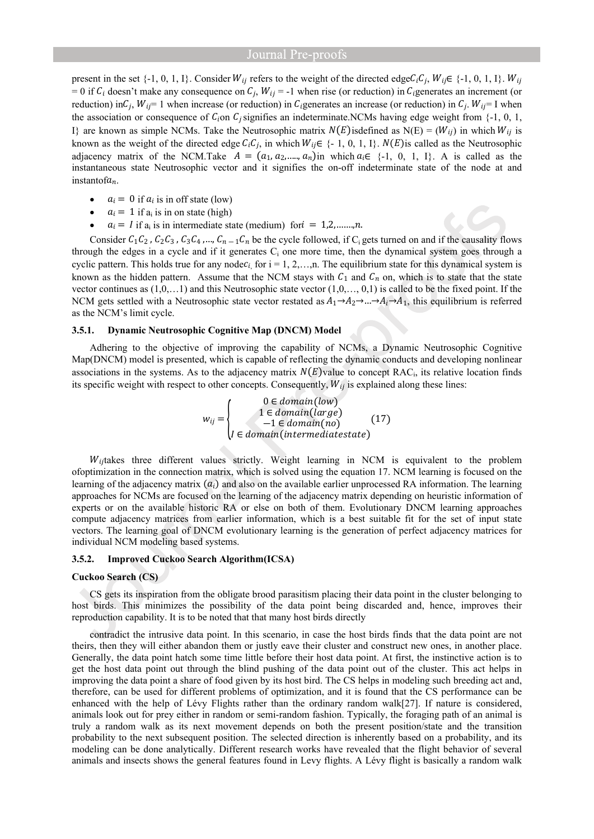present in the set  $\{-1, 0, 1, I\}$ . Consider  $W_{ij}$  refers to the weight of the directed edge  $C_i C_j$ ,  $W_{ij} \in \{-1, 0, 1, I\}$ .  $W_{ij}$ = 0 if  $C_i$  doesn't make any consequence on  $C_i$ ,  $W_{ii}$  = -1 when rise (or reduction) in  $C_i$  generates an increment (or reduction) in  $C_i$ ,  $W_{ij} = 1$  when increase (or reduction) in  $C_i$  generates an increase (or reduction) in  $C_i$ .  $W_{ij} = 1$  when the association or consequence of  $C_i$  on  $C_j$  signifies an indeterminate.NCMs having edge weight from {-1, 0, 1, I} are known as simple NCMs. Take the Neutrosophic matrix  $N(E)$  isdefined as N(E) = ( $W_{ij}$ ) in which  $W_{ij}$  is known as the weight of the directed edge  $C_iC_j$ , in which  $W_{ij} \in \{-1, 0, 1, I\}$ .  $N(E)$  is called as the Neutrosophic adjacency matrix of the NCM.Take  $A = (a_1, a_2, \dots, a_n)$  in which  $a_i \in \{-1, 0, 1, 1\}$ . A is called as the instantaneous state Neutrosophic vector and it signifies the on-off indeterminate state of the node at and instantof $a_n$ .

- $a_i = 0$  if  $a_i$  is in off state (low)
- $a_i = 1$  if  $a_i$  is in on state (high)
- $a_i = I$  if  $a_i$  is in intermediate state (medium) for  $i = 1, 2, \ldots, n$ .

Consider  $C_1C_2$ ,  $C_2C_3$ ,  $C_3C_4$ , ...,  $C_n \text{ }-1 \text{ } C_n$  be the cycle followed, if C gets turned on and if the causality flows through the edges in a cycle and if it generates  $C_i$  one more time, then the dynamical system goes through a cyclic pattern. This holds true for any node  $c_{i}$  for  $i = 1, 2, \ldots, n$ . The equilibrium state for this dynamical system is known as the hidden pattern. Assume that the NCM stays with  $C_1$  and  $C_n$  on, which is to state that the state vector continues as  $(1,0,...1)$  and this Neutrosophic state vector  $(1,0,...,0,1)$  is called to be the fixed point. If the NCM gets settled with a Neutrosophic state vector restated as  $A_1\rightarrow A_2\rightarrow...\rightarrow A_i\rightarrow A_1$ , this equilibrium is referred as the NCM's limit cycle.

# **3.5.1. Dynamic Neutrosophic Cognitive Map (DNCM) Model**

Adhering to the objective of improving the capability of NCMs, a Dynamic Neutrosophic Cognitive Map(DNCM) model is presented, which is capable of reflecting the dynamic conducts and developing nonlinear associations in the systems. As to the adjacency matrix  $N(E)$  value to concept RAC<sub>i</sub>, its relative location finds its specific weight with respect to other concepts. Consequently,  $W_{ij}$  is explained along these lines:

$$
w_{ij} = \begin{cases} 0 \in domain(low) \\ 1 \in domain(large) \\ -1 \in domain(no) \\ l \in domain(intermediatestate) \end{cases} (17)
$$

 $W_{ij}$ takes three different values strictly. Weight learning in NCM is equivalent to the problem ofoptimization in the connection matrix, which is solved using the equation 17. NCM learning is focused on the learning of the adjacency matrix  $(a_i)$  and also on the available earlier unprocessed RA information. The learning approaches for NCMs are focused on the learning of the adjacency matrix depending on heuristic information of experts or on the available historic RA or else on both of them. Evolutionary DNCM learning approaches compute adjacency matrices from earlier information, which is a best suitable fit for the set of input state vectors. The learning goal of DNCM evolutionary learning is the generation of perfect adjacency matrices for individual NCM modeling based systems.

# **3.5.2. Improved Cuckoo Search Algorithm(ICSA)**

#### **Cuckoo Search (CS)**

CS gets its inspiration from the obligate brood parasitism placing their data point in the cluster belonging to host birds. This minimizes the possibility of the data point being discarded and, hence, improves their reproduction capability. It is to be noted that that many host birds directly

contradict the intrusive data point. In this scenario, in case the host birds finds that the data point are not theirs, then they will either abandon them or justly eave their cluster and construct new ones, in another place. Generally, the data point hatch some time little before their host data point. At first, the instinctive action is to get the host data point out through the blind pushing of the data point out of the cluster. This act helps in improving the data point a share of food given by its host bird. The CS helps in modeling such breeding act and, therefore, can be used for different problems of optimization, and it is found that the CS performance can be enhanced with the help of Lévy Flights rather than the ordinary random walk[27]. If nature is considered, animals look out for prey either in random or semi-random fashion. Typically, the foraging path of an animal is truly a random walk as its next movement depends on both the present position/state and the transition probability to the next subsequent position. The selected direction is inherently based on a probability, and its modeling can be done analytically. Different research works have revealed that the flight behavior of several animals and insects shows the general features found in Levy flights. A Lévy flight is basically a random walk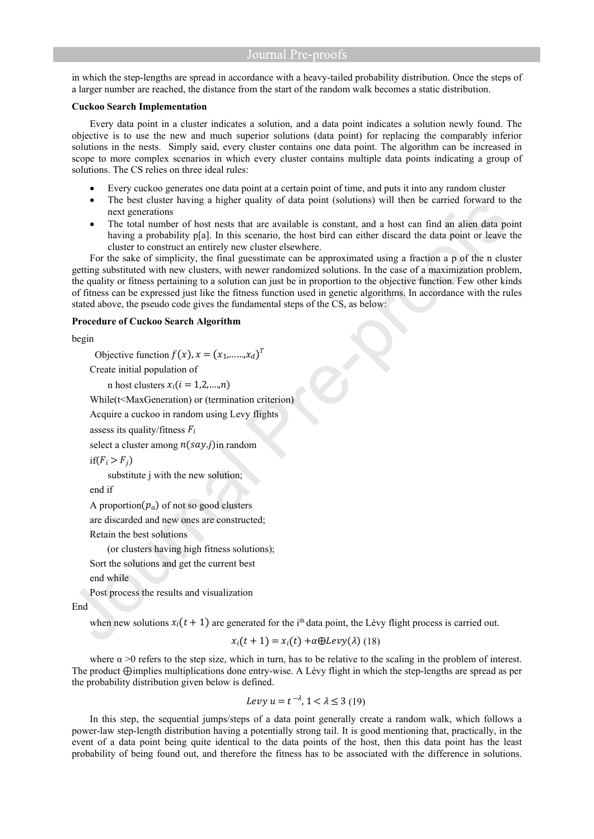in which the step-lengths are spread in accordance with a heavy-tailed probability distribution. Once the steps of a larger number are reached, the distance from the start of the random walk becomes a static distribution.

# **Cuckoo Search Implementation**

Every data point in a cluster indicates a solution, and a data point indicates a solution newly found. The objective is to use the new and much superior solutions (data point) for replacing the comparably inferior solutions in the nests. Simply said, every cluster contains one data point. The algorithm can be increased in scope to more complex scenarios in which every cluster contains multiple data points indicating a group of solutions. The CS relies on three ideal rules:

- Every cuckoo generates one data point at a certain point of time, and puts it into any random cluster
- The best cluster having a higher quality of data point (solutions) will then be carried forward to the next generations
- The total number of host nests that are available is constant, and a host can find an alien data point having a probability p[a]. In this scenario, the host bird can either discard the data point or leave the cluster to construct an entirely new cluster elsewhere.

For the sake of simplicity, the final guesstimate can be approximated using a fraction a p of the n cluster getting substituted with new clusters, with newer randomized solutions. In the case of a maximization problem, the quality or fitness pertaining to a solution can just be in proportion to the objective function. Few other kinds of fitness can be expressed just like the fitness function used in genetic algorithms. In accordance with the rules stated above, the pseudo code gives the fundamental steps of the CS, as below:

# **Procedure of Cuckoo Search Algorithm**

begin

Objective function  $f(x)$ ,  $x = (x_1, \dots, x_d)^T$ 

Create initial population of

n host clusters  $x_i$  ( $i = 1,2,...,n$ )

While(t<MaxGeneration) or (termination criterion)

Acquire a cuckoo in random using Levy flights

assess its quality/fitness  $F_i$ 

select a cluster among  $n(say.j)$ in random

```
if(F_i > F_i)
```
substitute *j* with the new solution;

end if

A proportion  $(p_a)$  of not so good clusters

are discarded and new ones are constructed;

Retain the best solutions

(or clusters having high fitness solutions);

Sort the solutions and get the current best

end while

Post process the results and visualization

End

when new solutions  $x_i(t + 1)$  are generated for the i<sup>th</sup> data point, the Lévy flight process is carried out.

$$
x_i(t+1) = x_i(t) + \alpha \oplus \text{Levy}(\lambda)
$$
 (18)

where  $\alpha$  >0 refers to the step size, which in turn, has to be relative to the scaling in the problem of interest. The product ⊕implies multiplications done entry-wise. A Lévy flight in which the step-lengths are spread as per the probability distribution given below is defined.

$$
Levy \ u = t^{-\lambda}, \ 1 < \lambda \leq 3 \ (19)
$$

In this step, the sequential jumps/steps of a data point generally create a random walk, which follows a power-law step-length distribution having a potentially strong tail. It is good mentioning that, practically, in the event of a data point being quite identical to the data points of the host, then this data point has the least probability of being found out, and therefore the fitness has to be associated with the difference in solutions.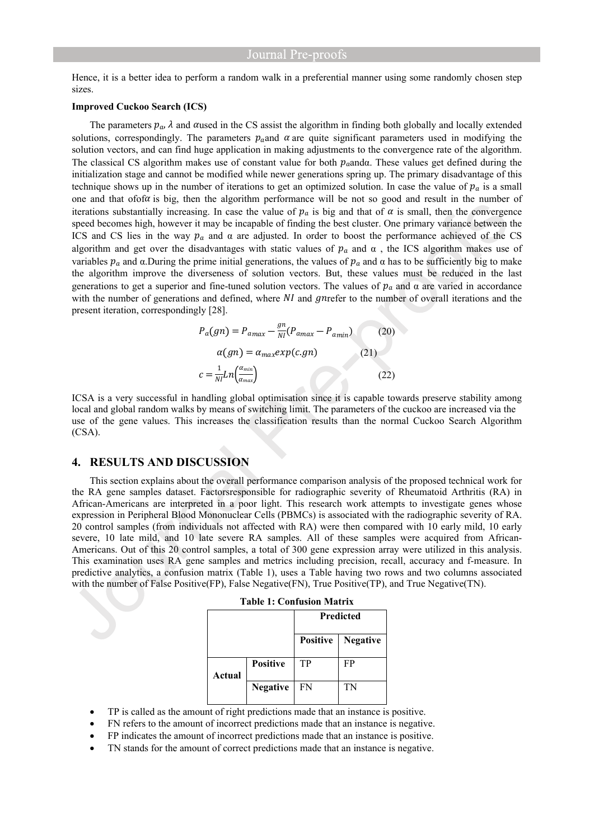Hence, it is a better idea to perform a random walk in a preferential manner using some randomly chosen step sizes.

# **Improved Cuckoo Search (ICS)**

The parameters  $p_a$ ,  $\lambda$  and  $\alpha$ used in the CS assist the algorithm in finding both globally and locally extended solutions, correspondingly. The parameters  $p_{q}$  and  $\alpha$  are quite significant parameters used in modifying the solution vectors, and can find huge application in making adjustments to the convergence rate of the algorithm. The classical CS algorithm makes use of constant value for both  $p_a$  and a. These values get defined during the initialization stage and cannot be modified while newer generations spring up. The primary disadvantage of this technique shows up in the number of iterations to get an optimized solution. In case the value of  $p_a$  is a small one and that ofof $\alpha$  is big, then the algorithm performance will be not so good and result in the number of iterations substantially increasing. In case the value of  $p_a$  is big and that of  $\alpha$  is small, then the convergence speed becomes high, however it may be incapable of finding the best cluster. One primary variance between the ICS and CS lies in the way  $p_a$  and  $\alpha$  are adjusted. In order to boost the performance achieved of the CS algorithm and get over the disadvantages with static values of  $p_a$  and  $\alpha$ , the ICS algorithm makes use of variables  $p_a$  and  $\alpha$ . During the prime initial generations, the values of  $p_a$  and  $\alpha$  has to be sufficiently big to make the algorithm improve the diverseness of solution vectors. But, these values must be reduced in the last generations to get a superior and fine-tuned solution vectors. The values of  $p_a$  and  $\alpha$  are varied in accordance with the number of generations and defined, where  $NI$  and gneeter to the number of overall iterations and the present iteration, correspondingly [28].

$$
P_a(gn) = P_{amax} - \frac{gn}{NI}(P_{amax} - P_{amin})
$$
 (20)  

$$
\alpha(gn) = \alpha_{max} exp(c.gn)
$$
 (21)  

$$
c = \frac{1}{NI}Ln\left(\frac{\alpha_{min}}{\alpha_{max}}\right)
$$
 (22)

ICSA is a very successful in handling global optimisation since it is capable towards preserve stability among local and global random walks by means of switching limit. The parameters of the cuckoo are increased via the use of the gene values. This increases the classification results than the normal Cuckoo Search Algorithm (CSA).

# **4. RESULTS AND DISCUSSION**

This section explains about the overall performance comparison analysis of the proposed technical work for the RA gene samples dataset. Factorsresponsible for radiographic severity of Rheumatoid Arthritis (RA) in African-Americans are interpreted in a poor light. This research work attempts to investigate genes whose expression in Peripheral Blood Mononuclear Cells (PBMCs) is associated with the radiographic severity of RA. 20 control samples (from individuals not affected with RA) were then compared with 10 early mild, 10 early severe, 10 late mild, and 10 late severe RA samples. All of these samples were acquired from African-Americans. Out of this 20 control samples, a total of 300 gene expression array were utilized in this analysis. This examination uses RA gene samples and metrics including precision, recall, accuracy and f-measure. In predictive analytics, a confusion matrix (Table 1), uses a Table having two rows and two columns associated with the number of False Positive(FP), False Negative(FN), True Positive(TP), and True Negative(TN).

|        |                 | <b>Predicted</b> |                            |
|--------|-----------------|------------------|----------------------------|
|        |                 |                  | <b>Positive</b>   Negative |
| Actual | <b>Positive</b> | TP               | FP                         |
|        | <b>Negative</b> | FN               | TN                         |

|  | <b>Table 1: Confusion Matrix</b> |  |
|--|----------------------------------|--|
|--|----------------------------------|--|

- TP is called as the amount of right predictions made that an instance is positive.
- FN refers to the amount of incorrect predictions made that an instance is negative.
- FP indicates the amount of incorrect predictions made that an instance is positive.
- TN stands for the amount of correct predictions made that an instance is negative.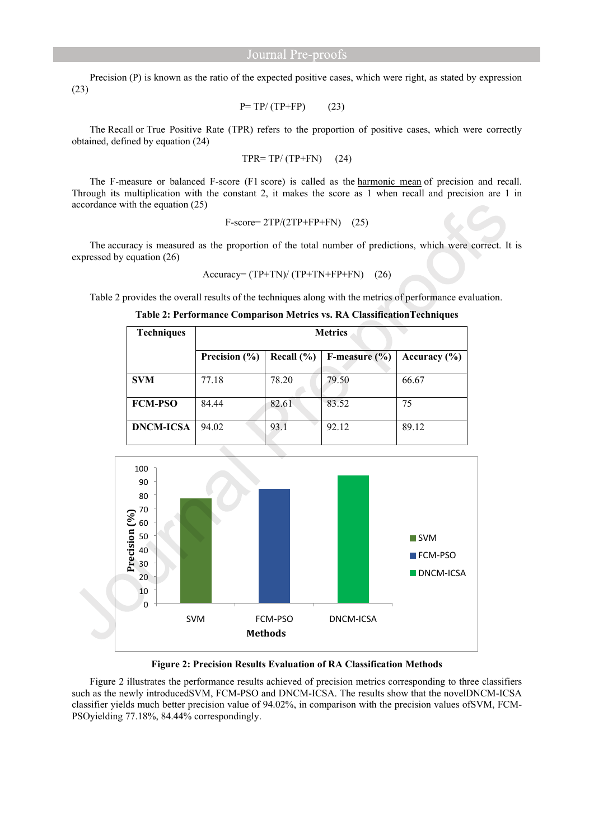Precision (P) is known as the ratio of the expected positive cases, which were right, as stated by expression (23)

$$
P = TP/(TP + FP)
$$
 (23)

The Recall or True Positive Rate (TPR) refers to the proportion of positive cases, which were correctly obtained, defined by equation (24)

$$
TPR = TP/(TP + FN) \quad (24)
$$

The F-measure or balanced F-score (F1 score) is called as the [harmonic mean](https://en.wikipedia.org/wiki/Harmonic_mean#Harmonic_mean_of_two_numbers) of precision and recall. Through its multiplication with the constant 2, it makes the score as 1 when recall and precision are 1 in accordance with the equation (25)

$$
F-score=2TP/(2TP+FP+FN)
$$
 (25)

The accuracy is measured as the proportion of the total number of predictions, which were correct. It is expressed by equation (26)

$$
Accuracy = (TP + TN) / (TP + TN + FP + FN) \quad (26)
$$

Table 2 provides the overall results of the techniques along with the metrics of performance evaluation.

**Table 2: Performance Comparison Metrics vs. RA ClassificationTechniques**

| <b>Techniques</b> | <b>Metrics</b> |                |                   |                  |  |
|-------------------|----------------|----------------|-------------------|------------------|--|
|                   | Precision (%)  | Recall $(\% )$ | F-measure $(\% )$ | Accuracy $(\% )$ |  |
| <b>SVM</b>        | 77.18          | 78.20          | 79.50             | 66.67            |  |
| <b>FCM-PSO</b>    | 84.44          | 82.61          | 83.52             | 75               |  |
| <b>DNCM-ICSA</b>  | 94.02          | 93.1           | 92.12             | 89.12            |  |



**Figure 2: Precision Results Evaluation of RA Classification Methods**

Figure 2 illustrates the performance results achieved of precision metrics corresponding to three classifiers such as the newly introducedSVM, FCM-PSO and DNCM-ICSA. The results show that the novelDNCM-ICSA classifier yields much better precision value of 94.02%, in comparison with the precision values ofSVM, FCM-PSOyielding 77.18%, 84.44% correspondingly.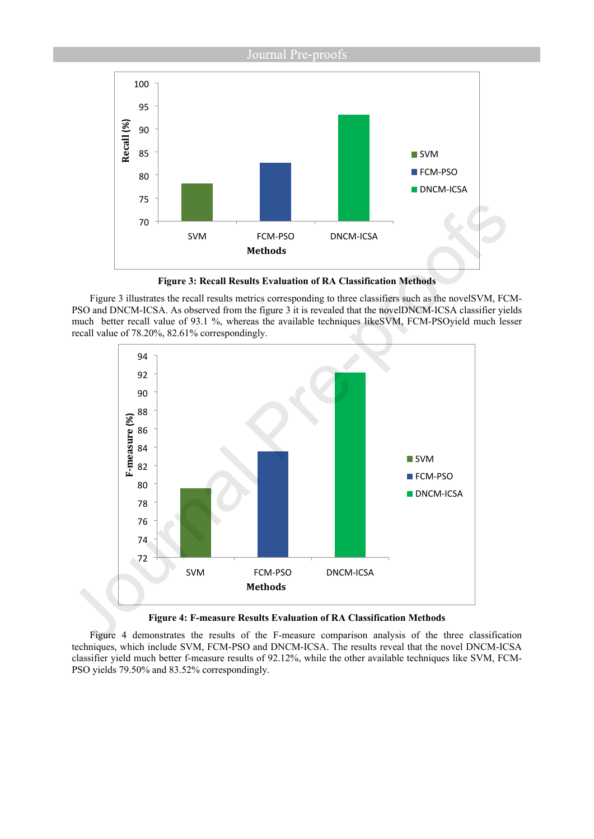

**Figure 3: Recall Results Evaluation of RA Classification Methods**

Figure 3 illustrates the recall results metrics corresponding to three classifiers such as the novelSVM, FCM-PSO and DNCM-ICSA. As observed from the figure 3 it is revealed that the novelDNCM-ICSA classifier yields much better recall value of 93.1 %, whereas the available techniques likeSVM, FCM-PSOyield much lesser recall value of 78.20%, 82.61% correspondingly.



**Figure 4: F-measure Results Evaluation of RA Classification Methods**

Figure 4 demonstrates the results of the F-measure comparison analysis of the three classification techniques, which include SVM, FCM-PSO and DNCM-ICSA. The results reveal that the novel DNCM-ICSA classifier yield much better f-measure results of 92.12%, while the other available techniques like SVM, FCM-PSO yields 79.50% and 83.52% correspondingly.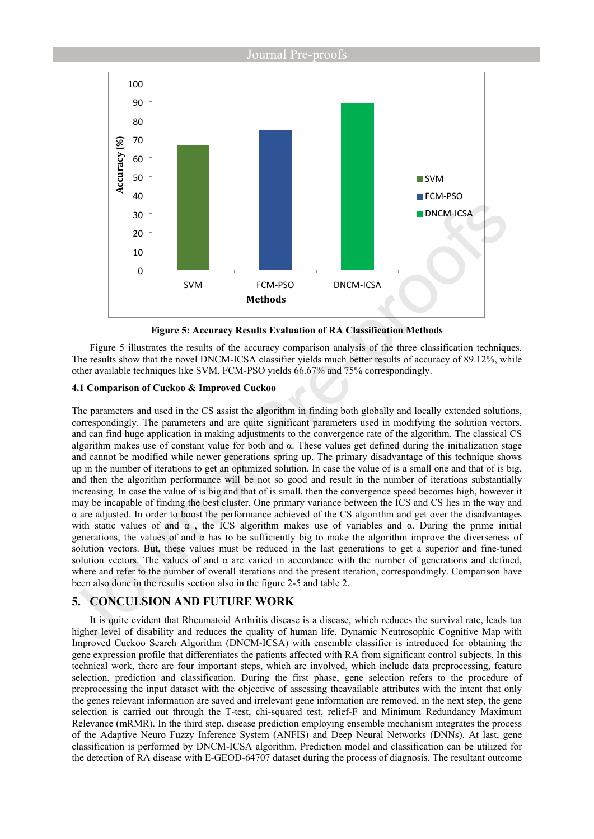

**Figure 5: Accuracy Results Evaluation of RA Classification Methods**

Figure 5 illustrates the results of the accuracy comparison analysis of the three classification techniques. The results show that the novel DNCM-ICSA classifier yields much better results of accuracy of 89.12%, while other available techniques like SVM, FCM-PSO yields 66.67% and 75% correspondingly.

# **4.1 Comparison of Cuckoo & Improved Cuckoo**

The parameters and used in the CS assist the algorithm in finding both globally and locally extended solutions, correspondingly. The parameters and are quite significant parameters used in modifying the solution vectors, and can find huge application in making adjustments to the convergence rate of the algorithm. The classical CS algorithm makes use of constant value for both and α. These values get defined during the initialization stage and cannot be modified while newer generations spring up. The primary disadvantage of this technique shows up in the number of iterations to get an optimized solution. In case the value of is a small one and that of is big, and then the algorithm performance will be not so good and result in the number of iterations substantially increasing. In case the value of is big and that of is small, then the convergence speed becomes high, however it may be incapable of finding the best cluster. One primary variance between the ICS and CS lies in the way and α are adjusted. In order to boost the performance achieved of the CS algorithm and get over the disadvantages with static values of and  $\alpha$ , the ICS algorithm makes use of variables and  $\alpha$ . During the prime initial generations, the values of and  $\alpha$  has to be sufficiently big to make the algorithm improve the diverseness of solution vectors. But, these values must be reduced in the last generations to get a superior and fine-tuned solution vectors. The values of and α are varied in accordance with the number of generations and defined, where and refer to the number of overall iterations and the present iteration, correspondingly. Comparison have been also done in the results section also in the figure 2-5 and table 2.

# **5. CONCULSION AND FUTURE WORK**

It is quite evident that Rheumatoid Arthritis disease is a disease, which reduces the survival rate, leads toa higher level of disability and reduces the quality of human life. Dynamic Neutrosophic Cognitive Map with Improved Cuckoo Search Algorithm (DNCM-ICSA) with ensemble classifier is introduced for obtaining the gene expression profile that differentiates the patients affected with RA from significant control subjects. In this technical work, there are four important steps, which are involved, which include data preprocessing, feature selection, prediction and classification. During the first phase, gene selection refers to the procedure of preprocessing the input dataset with the objective of assessing theavailable attributes with the intent that only the genes relevant information are saved and irrelevant gene information are removed, in the next step, the gene selection is carried out through the T-test, chi-squared test, relief-F and Minimum Redundancy Maximum Relevance (mRMR). In the third step, disease prediction employing ensemble mechanism integrates the process of the Adaptive Neuro Fuzzy Inference System (ANFIS) and Deep Neural Networks (DNNs). At last, gene classification is performed by DNCM-ICSA algorithm. Prediction model and classification can be utilized for the detection of RA disease with E-GEOD-64707 dataset during the process of diagnosis. The resultant outcome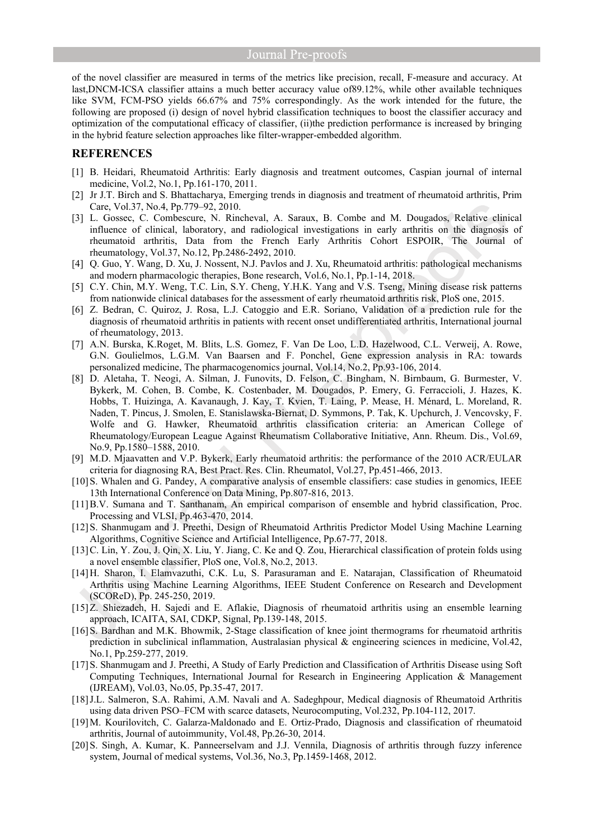of the novel classifier are measured in terms of the metrics like precision, recall, F-measure and accuracy. At last,DNCM-ICSA classifier attains a much better accuracy value of89.12%, while other available techniques like SVM, FCM-PSO yields 66.67% and 75% correspondingly. As the work intended for the future, the following are proposed (i) design of novel hybrid classification techniques to boost the classifier accuracy and optimization of the computational efficacy of classifier, (ii)the prediction performance is increased by bringing in the hybrid feature selection approaches like filter-wrapper-embedded algorithm.

# **REFERENCES**

- [1] B. Heidari, Rheumatoid Arthritis: Early diagnosis and treatment outcomes, Caspian journal of internal medicine, Vol.2, No.1, Pp.161-170, 2011.
- [2] Jr J.T. Birch and S. Bhattacharya, Emerging trends in diagnosis and treatment of rheumatoid arthritis, Prim Care, Vol.37, No.4, Pp.779–92, 2010.
- [3] L. Gossec, C. Combescure, N. Rincheval, A. Saraux, B. Combe and M. Dougados, Relative clinical influence of clinical, laboratory, and radiological investigations in early arthritis on the diagnosis of rheumatoid arthritis, Data from the French Early Arthritis Cohort ESPOIR, The Journal of rheumatology, Vol.37, No.12, Pp.2486-2492, 2010.
- [4] Q. Guo, Y. Wang, D. Xu, J. Nossent, N.J. Pavlos and J. Xu, Rheumatoid arthritis: pathological mechanisms and modern pharmacologic therapies, Bone research, Vol.6, No.1, Pp.1-14, 2018.
- [5] C.Y. Chin, M.Y. Weng, T.C. Lin, S.Y. Cheng, Y.H.K. Yang and V.S. Tseng, Mining disease risk patterns from nationwide clinical databases for the assessment of early rheumatoid arthritis risk, PloS one, 2015.
- [6] Z. Bedran, C. Quiroz, J. Rosa, L.J. Catoggio and E.R. Soriano, Validation of a prediction rule for the diagnosis of rheumatoid arthritis in patients with recent onset undifferentiated arthritis, International journal of rheumatology, 2013.
- [7] A.N. Burska, K.Roget, M. Blits, L.S. Gomez, F. Van De Loo, L.D. Hazelwood, C.L. Verweij, A. Rowe, G.N. Goulielmos, L.G.M. Van Baarsen and F. Ponchel, Gene expression analysis in RA: towards personalized medicine, The pharmacogenomics journal, Vol.14, No.2, Pp.93-106, 2014.
- [8] D. Aletaha, T. Neogi, A. Silman, J. Funovits, D. Felson, C. Bingham, N. Birnbaum, G. Burmester, V. Bykerk, M. Cohen, B. Combe, K. Costenbader, M. Dougados, P. Emery, G. Ferraccioli, J. Hazes, K. Hobbs, T. Huizinga, A. Kavanaugh, J. Kay, T. Kvien, T. Laing, P. Mease, H. Ménard, L. Moreland, R. Naden, T. Pincus, J. Smolen, E. Stanislawska-Biernat, D. Symmons, P. Tak, K. Upchurch, J. Vencovsky, F. Wolfe and G. Hawker, Rheumatoid arthritis classification criteria: an American College of Rheumatology/European League Against Rheumatism Collaborative Initiative, Ann. Rheum. Dis., Vol.69, No.9, Pp.1580–1588, 2010.
- [9] M.D. Mjaavatten and V.P. Bykerk, Early rheumatoid arthritis: the performance of the 2010 ACR/EULAR criteria for diagnosing RA, Best Pract. Res. Clin. Rheumatol, Vol.27, Pp.451-466, 2013.
- [10] S. Whalen and G. Pandey, A comparative analysis of ensemble classifiers: case studies in genomics, IEEE 13th International Conference on Data Mining, Pp.807-816, 2013.
- [11] B.V. Sumana and T. Santhanam, An empirical comparison of ensemble and hybrid classification, Proc. Processing and VLSI, Pp.463-470, 2014.
- [12] S. Shanmugam and J. Preethi, Design of Rheumatoid Arthritis Predictor Model Using Machine Learning Algorithms, Cognitive Science and Artificial Intelligence, Pp.67-77, 2018.
- [13] C. Lin, Y. Zou, J. Qin, X. Liu, Y. Jiang, C. Ke and Q. Zou, Hierarchical classification of protein folds using a novel ensemble classifier, PloS one, Vol.8, No.2, 2013.
- [14] H. Sharon, I. Elamvazuthi, C.K. Lu, S. Parasuraman and E. Natarajan, Classification of Rheumatoid Arthritis using Machine Learning Algorithms, IEEE Student Conference on Research and Development (SCOReD), Pp. 245-250, 2019.
- [15] Z. Shiezadeh, H. Sajedi and E. Aflakie, Diagnosis of rheumatoid arthritis using an ensemble learning approach, ICAITA, SAI, CDKP, Signal, Pp.139-148, 2015.
- [16] S. Bardhan and M.K. Bhowmik, 2-Stage classification of knee joint thermograms for rheumatoid arthritis prediction in subclinical inflammation, Australasian physical & engineering sciences in medicine, Vol.42, No.1, Pp.259-277, 2019.
- [17] S. Shanmugam and J. Preethi, A Study of Early Prediction and Classification of Arthritis Disease using Soft Computing Techniques, International Journal for Research in Engineering Application & Management (IJREAM), Vol.03, No.05, Pp.35-47, 2017.
- [18] J.L. Salmeron, S.A. Rahimi, A.M. Navali and A. Sadeghpour, Medical diagnosis of Rheumatoid Arthritis using data driven PSO–FCM with scarce datasets, Neurocomputing, Vol.232, Pp.104-112, 2017.
- [19] M. Kourilovitch, C. Galarza-Maldonado and E. Ortiz-Prado, Diagnosis and classification of rheumatoid arthritis, Journal of autoimmunity, Vol.48, Pp.26-30, 2014.
- [20] S. Singh, A. Kumar, K. Panneerselvam and J.J. Vennila, Diagnosis of arthritis through fuzzy inference system, Journal of medical systems, Vol.36, No.3, Pp.1459-1468, 2012.